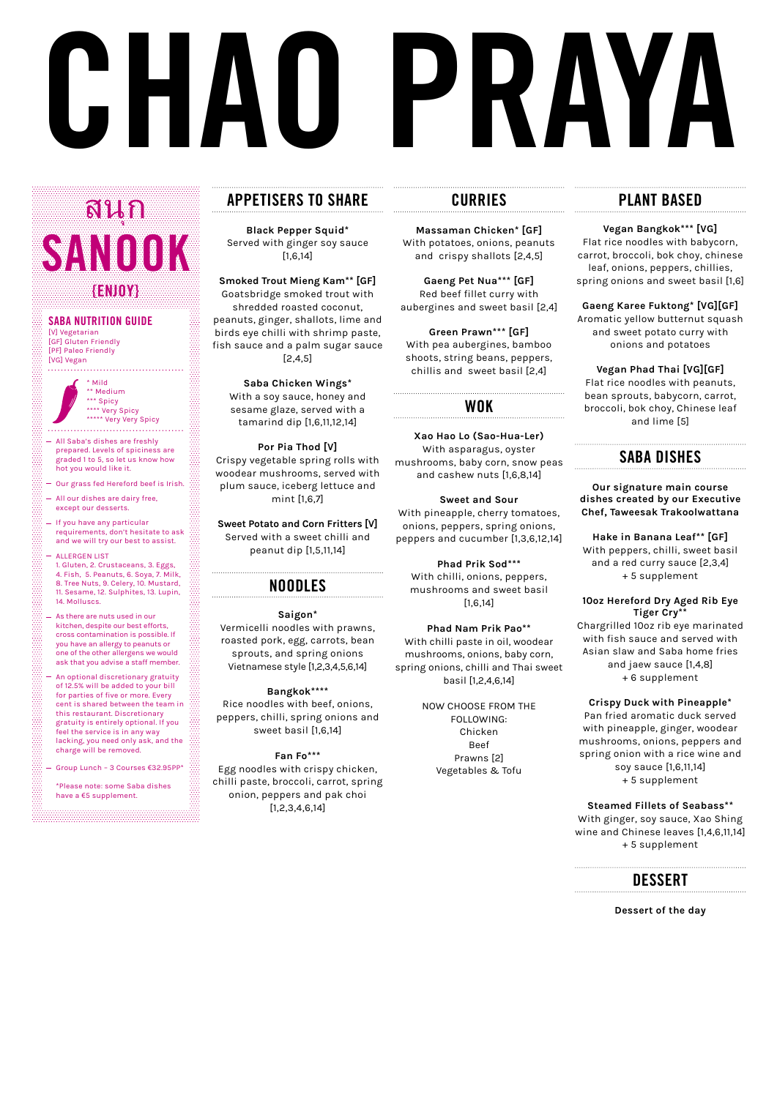# **CHAO PRAYA**

# **APPETISERS TO SHARE**

**Black Pepper Squid\*** Served with ginger soy sauce [1,6,14]

**Smoked Trout Mieng Kam\*\* [GF]** Goatsbridge smoked trout with shredded roasted coconut, peanuts, ginger, shallots, lime and birds eye chilli with shrimp paste, fish sauce and a palm sugar sauce [2,4,5]

**Saba Chicken Wings\*** With a soy sauce, honey and sesame glaze, served with a tamarind dip [1,6,11,12,14]

**Por Pia Thod [V]** Crispy vegetable spring rolls with woodear mushrooms, served with plum sauce, iceberg lettuce and mint [1,6,7]

**Sweet Potato and Corn Fritters [V]**  Served with a sweet chilli and peanut dip [1,5,11,14]

### **NOODLES**

**Saigon\*** Vermicelli noodles with prawns, roasted pork, egg, carrots, bean sprouts, and spring onions Vietnamese style [1,2,3,4,5,6,14]

**Bangkok\*\*\*\*** Rice noodles with beef, onions, peppers, chilli, spring onions and sweet basil [1,6,14]

**Fan Fo\*\*\*** Egg noodles with crispy chicken, chilli paste, broccoli, carrot, spring onion, peppers and pak choi [1,2,3,4,6,14]

### **CURRIES**

**Massaman Chicken\* [GF]** With potatoes, onions, peanuts and crispy shallots [2,4,5]

**Gaeng Pet Nua\*\*\* [GF]** Red beef fillet curry with aubergines and sweet basil [2,4]

**Green Prawn\*\*\* [GF]** With pea aubergines, bamboo shoots, string beans, peppers, chillis and sweet basil [2,4]

### **WOK**

**Xao Hao Lo (Sao-Hua-Ler)** With asparagus, oyster mushrooms, baby corn, snow peas and cashew nuts [1,6,8,14]

### **Sweet and Sour**

With pineapple, cherry tomatoes, onions, peppers, spring onions, peppers and cucumber [1,3,6,12,14]

\* Mild \*\* Medium \*\*\* Spicy \*\*\*\* Very Spicy \*\*\*\*\* Very Very Spicy

> **Phad Prik Sod\*\*\*** With chilli, onions, peppers, mushrooms and sweet basil [1,6,14]

**Phad Nam Prik Pao\*\*** With chilli paste in oil, woodear mushrooms, onions, baby corn, spring onions, chilli and Thai sweet basil [1,2,4,6,14]

> NOW CHOOSE FROM THE FOLLOWING: Chicken Beef Prawns [2] Vegetables & Tofu

# **PLANT BASED**

**Vegan Bangkok\*\*\* [VG]**

Flat rice noodles with babycorn, carrot, broccoli, bok choy, chinese leaf, onions, peppers, chillies, spring onions and sweet basil [1,6]

**Gaeng Karee Fuktong\* [VG][GF]** Aromatic yellow butternut squash and sweet potato curry with onions and potatoes

**Vegan Phad Thai [VG][GF]** Flat rice noodles with peanuts, bean sprouts, babycorn, carrot, broccoli, bok choy, Chinese leaf and lime [5]

## **SABA DISHES**

**Our signature main course dishes created by our Executive Chef, Taweesak Trakoolwattana**

**Hake in Banana Leaf\*\* [GF]** With peppers, chilli, sweet basil and a red curry sauce [2,3,4] + 5 supplement

### **10oz Hereford Dry Aged Rib Eye Tiger Cry\*\***

Chargrilled 10oz rib eye marinated with fish sauce and served with Asian slaw and Saba home fries and jaew sauce [1,4,8] + 6 supplement

### **Crispy Duck with Pineapple\***

Pan fried aromatic duck served with pineapple, ginger, woodear mushrooms, onions, peppers and spring onion with a rice wine and soy sauce [1,6,11,14] + 5 supplement

**Steamed Fillets of Seabass\*\*** 

With ginger, soy sauce, Xao Shing

wine and Chinese leaves [1,4,6,11,14] + 5 supplement



**Dessert of the day**

### **SABA NUTRITION GUIDE** [V] Vegetarian [GF] Gluten Friendly [PF] Paleo Friendly [VG] Vegan

# ุ **SANOOK {ENJOY}** สนก

All Saba's dishes are freshly prepared. Levels of spiciness are graded 1 to 5, so let us know how hot you would like it.

. . . . . . . . . . . . . . .

- Our grass fed Hereford beef is Irish.
- All our dishes are dairy free, except our desserts.
- If you have any particular requirements, don't hesitate to ask and we will try our best to assist.
- ALLERGEN LIST 1. Gluten, 2. Crustaceans, 3. Eggs, 4. Fish, 5. Peanuts, 6. Soya, 7. Milk, 8. Tree Nuts, 9. Celery, 10. Mustard, 11. Sesame, 12. Sulphites, 13. Lupin, 14. Molluscs.
- As there are nuts used in our kitchen, despite our best efforts, cross contamination is possible. If you have an allergy to peanuts or one of the other allergens we would ask that you advise a staff member.

- An optional discretionary gratuity of 12.5% will be added to your bill for parties of five or more. Every cent is shared between the team in this restaurant. Discretionary gratuity is entirely optional. If you feel the service is in any way lacking, you need only ask, and the charge will be removed.
- Group Lunch 3 Courses €32.95PP\*

\*Please note: some Saba dishes have a €5 supplement.